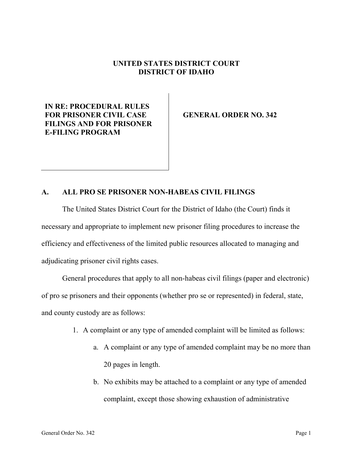## **UNITED STATES DISTRICT COURT DISTRICT OF IDAHO**

## **IN RE: PROCEDURAL RULES FOR PRISONER CIVIL CASE FILINGS AND FOR PRISONER E-FILING PROGRAM**

**GENERAL ORDER NO. 342**

## **A. ALL PRO SE PRISONER NON-HABEAS CIVIL FILINGS**

The United States District Court for the District of Idaho (the Court) finds it necessary and appropriate to implement new prisoner filing procedures to increase the efficiency and effectiveness of the limited public resources allocated to managing and adjudicating prisoner civil rights cases.

General procedures that apply to all non-habeas civil filings (paper and electronic) of pro se prisoners and their opponents (whether pro se or represented) in federal, state, and county custody are as follows:

- 1. A complaint or any type of amended complaint will be limited as follows:
	- a. A complaint or any type of amended complaint may be no more than 20 pages in length.
	- b. No exhibits may be attached to a complaint or any type of amended complaint, except those showing exhaustion of administrative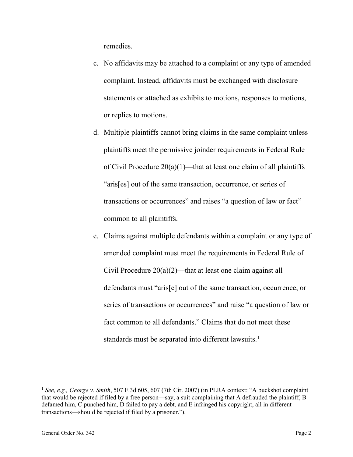remedies.

- c. No affidavits may be attached to a complaint or any type of amended complaint. Instead, affidavits must be exchanged with disclosure statements or attached as exhibits to motions, responses to motions, or replies to motions.
- d. Multiple plaintiffs cannot bring claims in the same complaint unless plaintiffs meet the permissive joinder requirements in Federal Rule of Civil Procedure  $20(a)(1)$ —that at least one claim of all plaintiffs "aris[es] out of the same transaction, occurrence, or series of transactions or occurrences" and raises "a question of law or fact" common to all plaintiffs.
- e. Claims against multiple defendants within a complaint or any type of amended complaint must meet the requirements in Federal Rule of Civil Procedure  $20(a)(2)$ —that at least one claim against all defendants must "aris[e] out of the same transaction, occurrence, or series of transactions or occurrences" and raise "a question of law or fact common to all defendants." Claims that do not meet these standards must be separated into different lawsuits.<sup>[1](#page-1-0)</sup>

<span id="page-1-0"></span> <sup>1</sup> *See, e.g., George v. Smith*, 507 F.3d 605, 607 (7th Cir. 2007) (in PLRA context: "A buckshot complaint that would be rejected if filed by a free person—say, a suit complaining that A defrauded the plaintiff, B defamed him, C punched him, D failed to pay a debt, and E infringed his copyright, all in different transactions—should be rejected if filed by a prisoner.").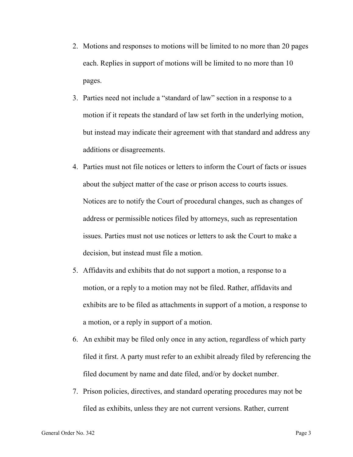- 2. Motions and responses to motions will be limited to no more than 20 pages each. Replies in support of motions will be limited to no more than 10 pages.
- 3. Parties need not include a "standard of law" section in a response to a motion if it repeats the standard of law set forth in the underlying motion, but instead may indicate their agreement with that standard and address any additions or disagreements.
- 4. Parties must not file notices or letters to inform the Court of facts or issues about the subject matter of the case or prison access to courts issues. Notices are to notify the Court of procedural changes, such as changes of address or permissible notices filed by attorneys, such as representation issues. Parties must not use notices or letters to ask the Court to make a decision, but instead must file a motion.
- 5. Affidavits and exhibits that do not support a motion, a response to a motion, or a reply to a motion may not be filed. Rather, affidavits and exhibits are to be filed as attachments in support of a motion, a response to a motion, or a reply in support of a motion.
- 6. An exhibit may be filed only once in any action, regardless of which party filed it first. A party must refer to an exhibit already filed by referencing the filed document by name and date filed, and/or by docket number.
- 7. Prison policies, directives, and standard operating procedures may not be filed as exhibits, unless they are not current versions. Rather, current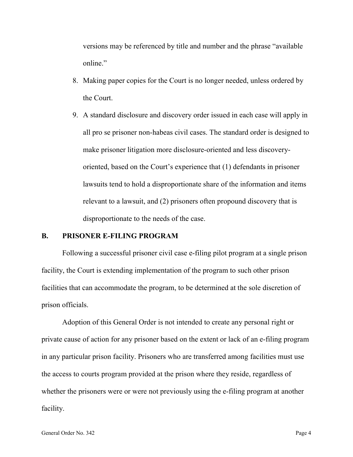versions may be referenced by title and number and the phrase "available online."

- 8. Making paper copies for the Court is no longer needed, unless ordered by the Court.
- 9. A standard disclosure and discovery order issued in each case will apply in all pro se prisoner non-habeas civil cases. The standard order is designed to make prisoner litigation more disclosure-oriented and less discoveryoriented, based on the Court's experience that (1) defendants in prisoner lawsuits tend to hold a disproportionate share of the information and items relevant to a lawsuit, and (2) prisoners often propound discovery that is disproportionate to the needs of the case.

## **B. PRISONER E-FILING PROGRAM**

Following a successful prisoner civil case e-filing pilot program at a single prison facility, the Court is extending implementation of the program to such other prison facilities that can accommodate the program, to be determined at the sole discretion of prison officials.

Adoption of this General Order is not intended to create any personal right or private cause of action for any prisoner based on the extent or lack of an e-filing program in any particular prison facility. Prisoners who are transferred among facilities must use the access to courts program provided at the prison where they reside, regardless of whether the prisoners were or were not previously using the e-filing program at another facility.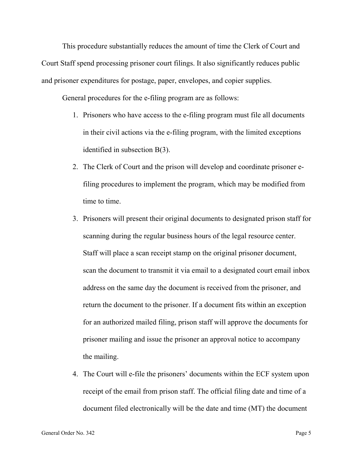This procedure substantially reduces the amount of time the Clerk of Court and Court Staff spend processing prisoner court filings. It also significantly reduces public and prisoner expenditures for postage, paper, envelopes, and copier supplies.

General procedures for the e-filing program are as follows:

- 1. Prisoners who have access to the e-filing program must file all documents in their civil actions via the e-filing program, with the limited exceptions identified in subsection B(3).
- 2. The Clerk of Court and the prison will develop and coordinate prisoner efiling procedures to implement the program, which may be modified from time to time.
- 3. Prisoners will present their original documents to designated prison staff for scanning during the regular business hours of the legal resource center. Staff will place a scan receipt stamp on the original prisoner document, scan the document to transmit it via email to a designated court email inbox address on the same day the document is received from the prisoner, and return the document to the prisoner. If a document fits within an exception for an authorized mailed filing, prison staff will approve the documents for prisoner mailing and issue the prisoner an approval notice to accompany the mailing.
- 4. The Court will e-file the prisoners' documents within the ECF system upon receipt of the email from prison staff. The official filing date and time of a document filed electronically will be the date and time (MT) the document